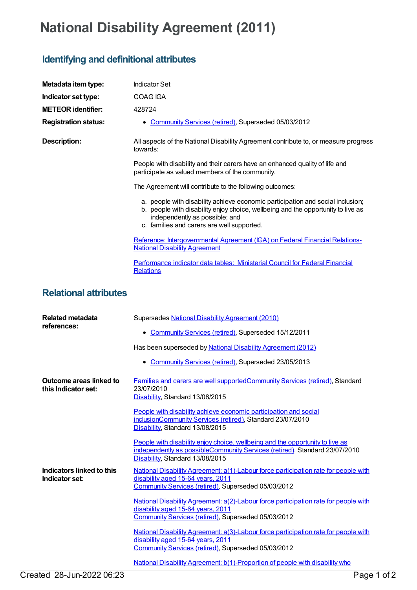## **National Disability Agreement (2011)**

## **Identifying and definitional attributes**

| Metadata item type:                            | <b>Indicator Set</b>                                                                                                                                                                                                                               |
|------------------------------------------------|----------------------------------------------------------------------------------------------------------------------------------------------------------------------------------------------------------------------------------------------------|
| Indicator set type:                            | <b>COAG IGA</b>                                                                                                                                                                                                                                    |
| <b>METEOR identifier:</b>                      | 428724                                                                                                                                                                                                                                             |
| <b>Registration status:</b>                    | • Community Services (retired), Superseded 05/03/2012                                                                                                                                                                                              |
| <b>Description:</b>                            | All aspects of the National Disability Agreement contribute to, or measure progress<br>towards:                                                                                                                                                    |
|                                                | People with disability and their carers have an enhanced quality of life and<br>participate as valued members of the community.                                                                                                                    |
|                                                | The Agreement will contribute to the following outcomes:                                                                                                                                                                                           |
|                                                | a. people with disability achieve economic participation and social inclusion;<br>b. people with disability enjoy choice, wellbeing and the opportunity to live as<br>independently as possible; and<br>c. families and carers are well supported. |
|                                                | Reference: Intergovernmental Agreement (IGA) on Federal Financial Relations-<br><b>National Disability Agreement</b>                                                                                                                               |
|                                                | Performance indicator data tables: Ministerial Council for Federal Financial<br><b>Relations</b>                                                                                                                                                   |
| <b>Relational attributes</b>                   |                                                                                                                                                                                                                                                    |
| <b>Related metadata</b><br>references:         | Supersedes National Disability Agreement (2010)                                                                                                                                                                                                    |
|                                                | • Community Services (retired), Superseded 15/12/2011                                                                                                                                                                                              |
|                                                | Has been superseded by National Disability Agreement (2012)                                                                                                                                                                                        |
|                                                | • Community Services (retired), Superseded 23/05/2013                                                                                                                                                                                              |
| Outcome areas linked to<br>this Indicator set: | <b>Families and carers are well supported Community Services (retired), Standard</b><br>23/07/2010<br>Disability, Standard 13/08/2015                                                                                                              |
|                                                | People with disability achieve economic participation and social<br>inclusionCommunity Services (retired), Standard 23/07/2010<br>Disability, Standard 13/08/2015                                                                                  |
|                                                | People with disability enjoy choice, wellbeing and the opportunity to live as<br>independently as possibleCommunity Services (retired), Standard 23/07/2010<br>Disability, Standard 13/08/2015                                                     |
| Indicators linked to this<br>Indicator set:    | National Disability Agreement: a(1)-Labour force participation rate for people with<br>disability aged 15-64 years, 2011<br>Community Services (retired), Superseded 05/03/2012                                                                    |
|                                                | National Disability Agreement: a(2)-Labour force participation rate for people with<br>disability aged 15-64 years, 2011<br>Community Services (retired), Superseded 05/03/2012                                                                    |
|                                                | National Disability Agreement: a(3)-Labour force participation rate for people with<br>disability aged 15-64 years, 2011<br>Community Services (retired), Superseded 05/03/2012                                                                    |
|                                                | National Disability Agreement: b(1)-Proportion of people with disability who                                                                                                                                                                       |